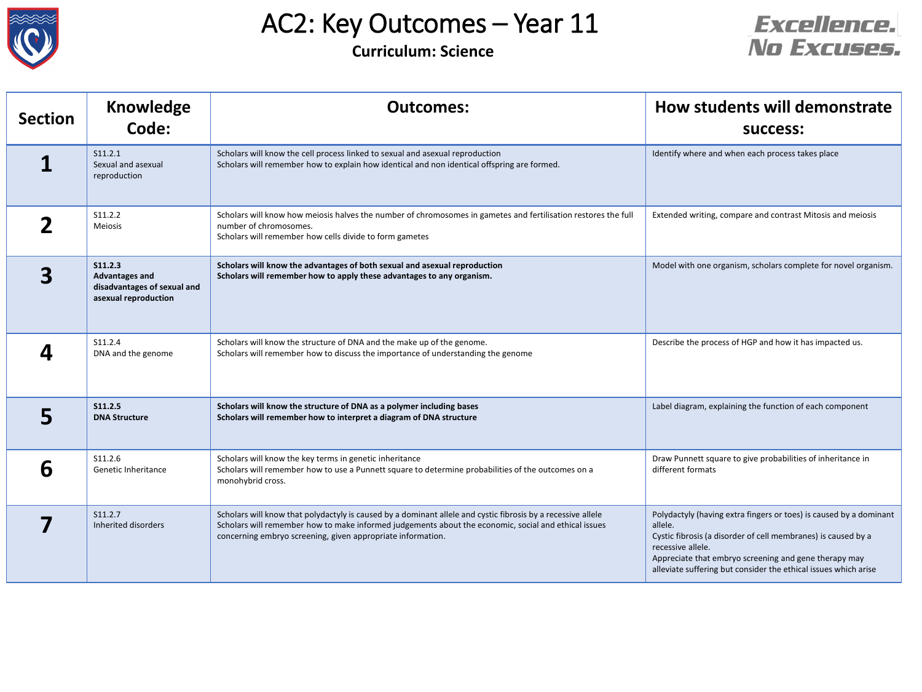



| <b>Section</b> | <b>Knowledge</b><br>Code:                                                                      | <b>Outcomes:</b>                                                                                                                                                                                                                                                                    | How students will demonstrate<br>success:                                                                                                                                                                                                                                                       |
|----------------|------------------------------------------------------------------------------------------------|-------------------------------------------------------------------------------------------------------------------------------------------------------------------------------------------------------------------------------------------------------------------------------------|-------------------------------------------------------------------------------------------------------------------------------------------------------------------------------------------------------------------------------------------------------------------------------------------------|
|                | S11.2.1<br>Sexual and asexual<br>reproduction                                                  | Scholars will know the cell process linked to sexual and asexual reproduction<br>Scholars will remember how to explain how identical and non identical offspring are formed.                                                                                                        | Identify where and when each process takes place                                                                                                                                                                                                                                                |
|                | S11.2.2<br>Meiosis                                                                             | Scholars will know how meiosis halves the number of chromosomes in gametes and fertilisation restores the full<br>number of chromosomes.<br>Scholars will remember how cells divide to form gametes                                                                                 | Extended writing, compare and contrast Mitosis and meiosis                                                                                                                                                                                                                                      |
| 3              | <b>S11.2.3</b><br><b>Advantages and</b><br>disadvantages of sexual and<br>asexual reproduction | Scholars will know the advantages of both sexual and asexual reproduction<br>Scholars will remember how to apply these advantages to any organism.                                                                                                                                  | Model with one organism, scholars complete for novel organism.                                                                                                                                                                                                                                  |
|                | S11.2.4<br>DNA and the genome                                                                  | Scholars will know the structure of DNA and the make up of the genome.<br>Scholars will remember how to discuss the importance of understanding the genome                                                                                                                          | Describe the process of HGP and how it has impacted us.                                                                                                                                                                                                                                         |
| 5              | S11.2.5<br><b>DNA Structure</b>                                                                | Scholars will know the structure of DNA as a polymer including bases<br>Scholars will remember how to interpret a diagram of DNA structure                                                                                                                                          | Label diagram, explaining the function of each component                                                                                                                                                                                                                                        |
| 6              | S11.2.6<br>Genetic Inheritance                                                                 | Scholars will know the key terms in genetic inheritance<br>Scholars will remember how to use a Punnett square to determine probabilities of the outcomes on a<br>monohybrid cross.                                                                                                  | Draw Punnett square to give probabilities of inheritance in<br>different formats                                                                                                                                                                                                                |
|                | S11.2.7<br>Inherited disorders                                                                 | Scholars will know that polydactyly is caused by a dominant allele and cystic fibrosis by a recessive allele<br>Scholars will remember how to make informed judgements about the economic, social and ethical issues<br>concerning embryo screening, given appropriate information. | Polydactyly (having extra fingers or toes) is caused by a dominant<br>allele.<br>Cystic fibrosis (a disorder of cell membranes) is caused by a<br>recessive allele.<br>Appreciate that embryo screening and gene therapy may<br>alleviate suffering but consider the ethical issues which arise |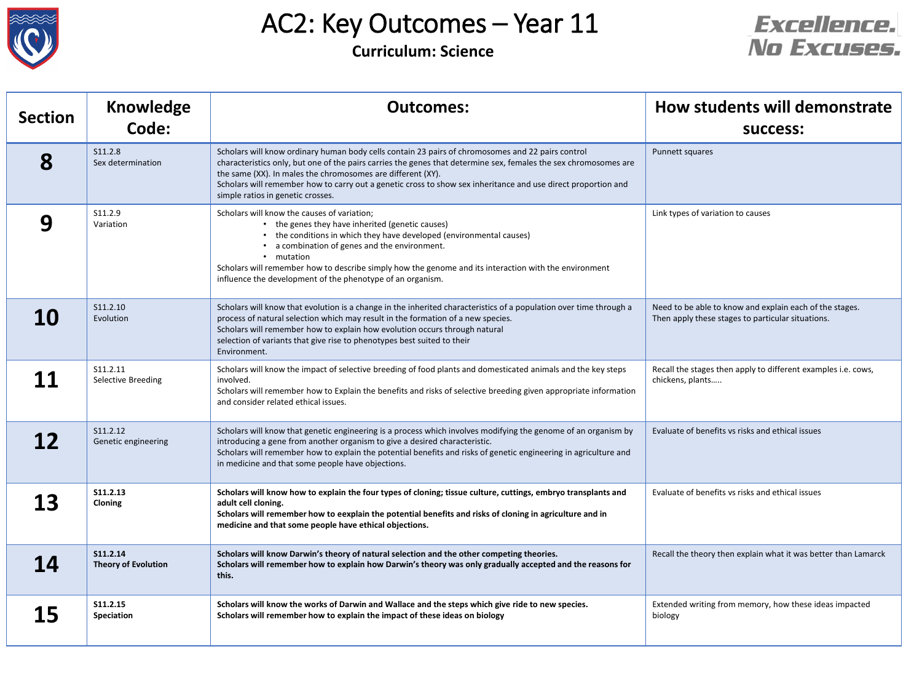



| <b>Section</b> | <b>Knowledge</b>                       | <b>Outcomes:</b>                                                                                                                                                                                                                                                                                                                                                                                                                           | How students will demonstrate                                                                                |
|----------------|----------------------------------------|--------------------------------------------------------------------------------------------------------------------------------------------------------------------------------------------------------------------------------------------------------------------------------------------------------------------------------------------------------------------------------------------------------------------------------------------|--------------------------------------------------------------------------------------------------------------|
|                | Code:                                  |                                                                                                                                                                                                                                                                                                                                                                                                                                            | <b>SUCCESS:</b>                                                                                              |
| 8              | S11.2.8<br>Sex determination           | Scholars will know ordinary human body cells contain 23 pairs of chromosomes and 22 pairs control<br>characteristics only, but one of the pairs carries the genes that determine sex, females the sex chromosomes are<br>the same (XX). In males the chromosomes are different (XY).<br>Scholars will remember how to carry out a genetic cross to show sex inheritance and use direct proportion and<br>simple ratios in genetic crosses. | Punnett squares                                                                                              |
| 9              | S11.2.9<br>Variation                   | Scholars will know the causes of variation;<br>the genes they have inherited (genetic causes)<br>the conditions in which they have developed (environmental causes)<br>a combination of genes and the environment.<br>mutation<br>Scholars will remember how to describe simply how the genome and its interaction with the environment<br>influence the development of the phenotype of an organism.                                      | Link types of variation to causes                                                                            |
| 10             | S11.2.10<br>Evolution                  | Scholars will know that evolution is a change in the inherited characteristics of a population over time through a<br>process of natural selection which may result in the formation of a new species.<br>Scholars will remember how to explain how evolution occurs through natural<br>selection of variants that give rise to phenotypes best suited to their<br>Environment.                                                            | Need to be able to know and explain each of the stages.<br>Then apply these stages to particular situations. |
|                | S11.2.11<br>Selective Breeding         | Scholars will know the impact of selective breeding of food plants and domesticated animals and the key steps<br>involved.<br>Scholars will remember how to Explain the benefits and risks of selective breeding given appropriate information<br>and consider related ethical issues.                                                                                                                                                     | Recall the stages then apply to different examples i.e. cows,<br>chickens, plants                            |
| 12             | S11.2.12<br>Genetic engineering        | Scholars will know that genetic engineering is a process which involves modifying the genome of an organism by<br>introducing a gene from another organism to give a desired characteristic.<br>Scholars will remember how to explain the potential benefits and risks of genetic engineering in agriculture and<br>in medicine and that some people have objections.                                                                      | Evaluate of benefits vs risks and ethical issues                                                             |
| Э<br>ТJ        | S11.2.13<br>Cloning                    | Scholars will know how to explain the four types of cloning; tissue culture, cuttings, embryo transplants and<br>adult cell cloning.<br>Scholars will remember how to eexplain the potential benefits and risks of cloning in agriculture and in<br>medicine and that some people have ethical objections.                                                                                                                                 | Evaluate of benefits vs risks and ethical issues                                                             |
| <b>14</b>      | S11.2.14<br><b>Theory of Evolution</b> | Scholars will know Darwin's theory of natural selection and the other competing theories.<br>Scholars will remember how to explain how Darwin's theory was only gradually accepted and the reasons for<br>this.                                                                                                                                                                                                                            | Recall the theory then explain what it was better than Lamarck                                               |
| 15             | S11.2.15<br>Speciation                 | Scholars will know the works of Darwin and Wallace and the steps which give ride to new species.<br>Scholars will remember how to explain the impact of these ideas on biology                                                                                                                                                                                                                                                             | Extended writing from memory, how these ideas impacted<br>biology                                            |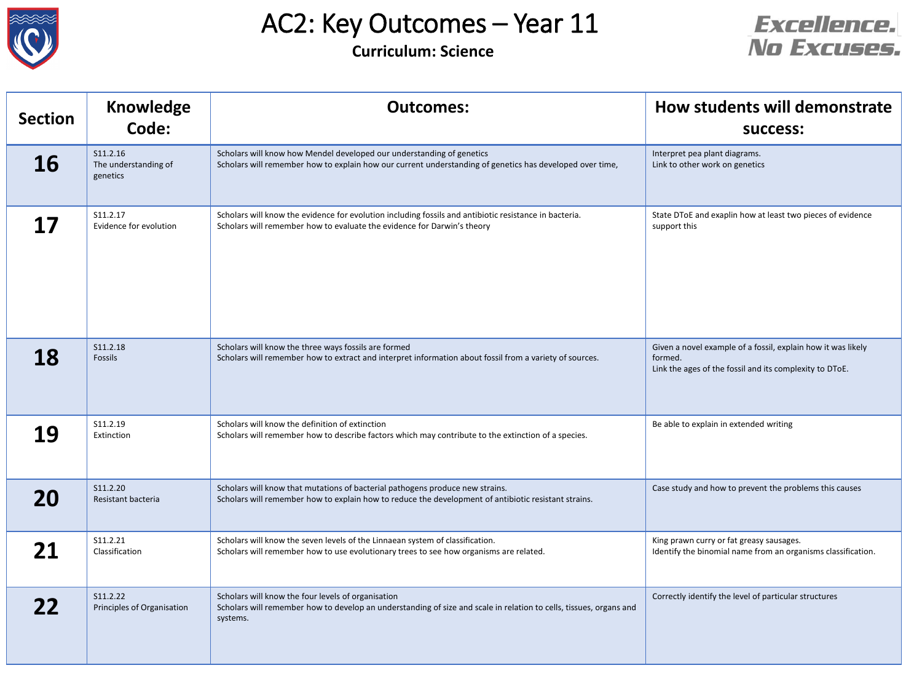



| <b>Section</b> | <b>Knowledge</b><br>Code:                    | <b>Outcomes:</b>                                                                                                                                                                      | How students will demonstrate<br><b>SUCCESS:</b>                                                                                   |
|----------------|----------------------------------------------|---------------------------------------------------------------------------------------------------------------------------------------------------------------------------------------|------------------------------------------------------------------------------------------------------------------------------------|
| 16             | S11.2.16<br>The understanding of<br>genetics | Scholars will know how Mendel developed our understanding of genetics<br>Scholars will remember how to explain how our current understanding of genetics has developed over time,     | Interpret pea plant diagrams.<br>Link to other work on genetics                                                                    |
| 17             | S11.2.17<br>Evidence for evolution           | Scholars will know the evidence for evolution including fossils and antibiotic resistance in bacteria.<br>Scholars will remember how to evaluate the evidence for Darwin's theory     | State DToE and exaplin how at least two pieces of evidence<br>support this                                                         |
| 18             | S11.2.18<br>Fossils                          | Scholars will know the three ways fossils are formed<br>Scholars will remember how to extract and interpret information about fossil from a variety of sources.                       | Given a novel example of a fossil, explain how it was likely<br>formed.<br>Link the ages of the fossil and its complexity to DToE. |
| 19             | S11.2.19<br>Extinction                       | Scholars will know the definition of extinction<br>Scholars will remember how to describe factors which may contribute to the extinction of a species.                                | Be able to explain in extended writing                                                                                             |
| 20             | S11.2.20<br>Resistant bacteria               | Scholars will know that mutations of bacterial pathogens produce new strains.<br>Scholars will remember how to explain how to reduce the development of antibiotic resistant strains. | Case study and how to prevent the problems this causes                                                                             |
|                | S11.2.21<br>Classification                   | Scholars will know the seven levels of the Linnaean system of classification.<br>Scholars will remember how to use evolutionary trees to see how organisms are related.               | King prawn curry or fat greasy sausages.<br>Identify the binomial name from an organisms classification.                           |
|                | S11.2.22<br>Principles of Organisation       | Scholars will know the four levels of organisation<br>Scholars will remember how to develop an understanding of size and scale in relation to cells, tissues, organs and<br>systems.  | Correctly identify the level of particular structures                                                                              |